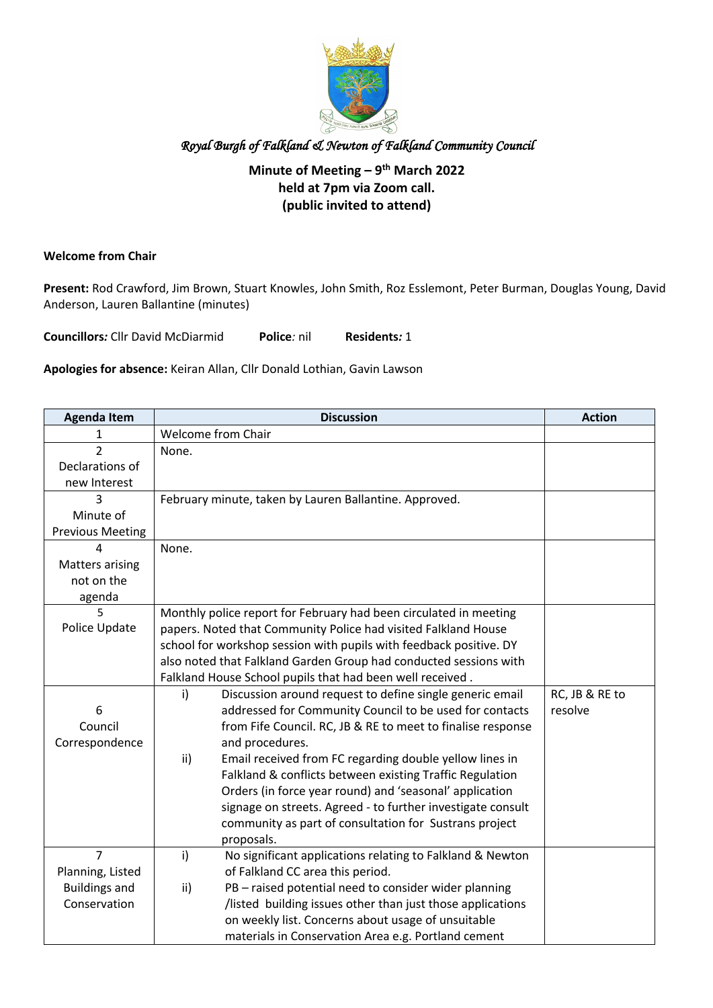

## **Minute of Meeting – 9th March 2022 held at 7pm via Zoom call. (public invited to attend)**

#### **Welcome from Chair**

**Present:** Rod Crawford, Jim Brown, Stuart Knowles, John Smith, Roz Esslemont, Peter Burman, Douglas Young, David Anderson, Lauren Ballantine (minutes)

**Councillors***:* Cllr David McDiarmid **Police***:* nil **Residents***:* 1

**Apologies for absence:** Keiran Allan, Cllr Donald Lothian, Gavin Lawson

| <b>Agenda Item</b>      | <b>Discussion</b>                                                  | <b>Action</b>  |
|-------------------------|--------------------------------------------------------------------|----------------|
| 1                       | Welcome from Chair                                                 |                |
| $\overline{2}$          | None.                                                              |                |
| Declarations of         |                                                                    |                |
| new Interest            |                                                                    |                |
| 3                       | February minute, taken by Lauren Ballantine. Approved.             |                |
| Minute of               |                                                                    |                |
| <b>Previous Meeting</b> |                                                                    |                |
|                         | None.                                                              |                |
| <b>Matters arising</b>  |                                                                    |                |
| not on the              |                                                                    |                |
| agenda                  |                                                                    |                |
| 5                       | Monthly police report for February had been circulated in meeting  |                |
| Police Update           | papers. Noted that Community Police had visited Falkland House     |                |
|                         | school for workshop session with pupils with feedback positive. DY |                |
|                         | also noted that Falkland Garden Group had conducted sessions with  |                |
|                         | Falkland House School pupils that had been well received.          |                |
|                         | Discussion around request to define single generic email<br>i)     | RC, JB & RE to |
| 6                       | addressed for Community Council to be used for contacts            | resolve        |
| Council                 | from Fife Council. RC, JB & RE to meet to finalise response        |                |
| Correspondence          | and procedures.                                                    |                |
|                         | Email received from FC regarding double yellow lines in<br>ii)     |                |
|                         | Falkland & conflicts between existing Traffic Regulation           |                |
|                         | Orders (in force year round) and 'seasonal' application            |                |
|                         | signage on streets. Agreed - to further investigate consult        |                |
|                         | community as part of consultation for Sustrans project             |                |
|                         | proposals.                                                         |                |
| $\overline{7}$          | i)<br>No significant applications relating to Falkland & Newton    |                |
| Planning, Listed        | of Falkland CC area this period.                                   |                |
| <b>Buildings and</b>    | PB - raised potential need to consider wider planning<br>ii)       |                |
| Conservation            | /listed building issues other than just those applications         |                |
|                         | on weekly list. Concerns about usage of unsuitable                 |                |
|                         | materials in Conservation Area e.g. Portland cement                |                |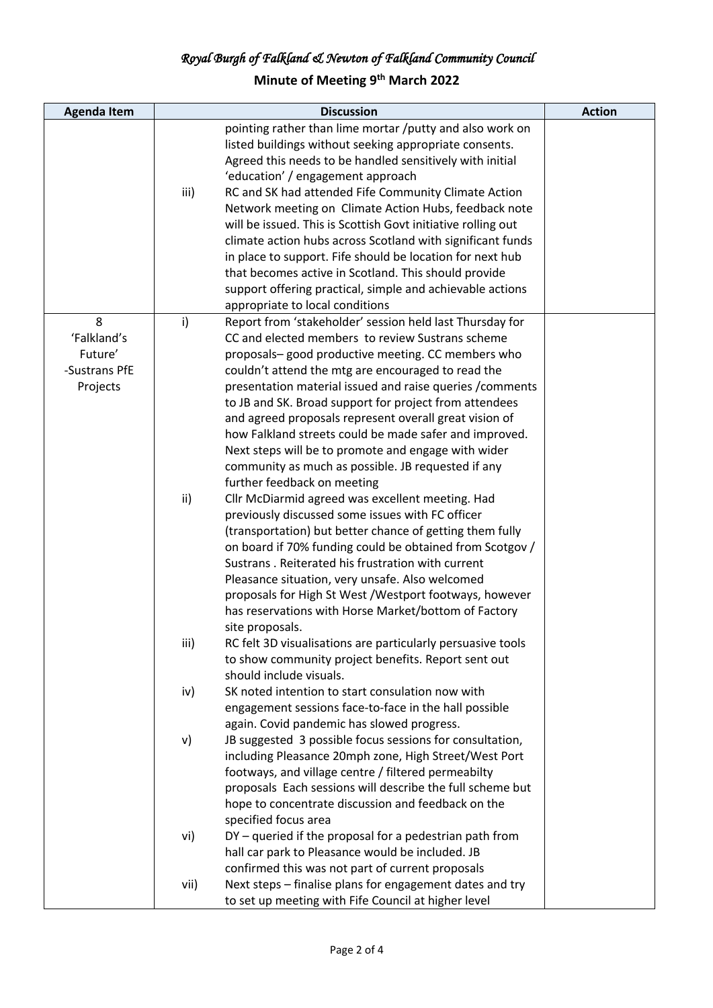# **Minute of Meeting 9th March 2022**

| <b>Agenda Item</b> |               | <b>Discussion</b>                                            | <b>Action</b> |
|--------------------|---------------|--------------------------------------------------------------|---------------|
|                    |               | pointing rather than lime mortar /putty and also work on     |               |
|                    |               | listed buildings without seeking appropriate consents.       |               |
|                    |               | Agreed this needs to be handled sensitively with initial     |               |
|                    |               | 'education' / engagement approach                            |               |
|                    | iii)          | RC and SK had attended Fife Community Climate Action         |               |
|                    |               | Network meeting on Climate Action Hubs, feedback note        |               |
|                    |               | will be issued. This is Scottish Govt initiative rolling out |               |
|                    |               | climate action hubs across Scotland with significant funds   |               |
|                    |               | in place to support. Fife should be location for next hub    |               |
|                    |               | that becomes active in Scotland. This should provide         |               |
|                    |               | support offering practical, simple and achievable actions    |               |
|                    |               | appropriate to local conditions                              |               |
| 8                  | i)            | Report from 'stakeholder' session held last Thursday for     |               |
| 'Falkland's        |               | CC and elected members to review Sustrans scheme             |               |
| Future'            |               | proposals-good productive meeting. CC members who            |               |
| -Sustrans PfE      |               | couldn't attend the mtg are encouraged to read the           |               |
| Projects           |               | presentation material issued and raise queries / comments    |               |
|                    |               | to JB and SK. Broad support for project from attendees       |               |
|                    |               | and agreed proposals represent overall great vision of       |               |
|                    |               | how Falkland streets could be made safer and improved.       |               |
|                    |               | Next steps will be to promote and engage with wider          |               |
|                    |               | community as much as possible. JB requested if any           |               |
|                    |               | further feedback on meeting                                  |               |
|                    | $\mathsf{ii}$ | Cllr McDiarmid agreed was excellent meeting. Had             |               |
|                    |               | previously discussed some issues with FC officer             |               |
|                    |               | (transportation) but better chance of getting them fully     |               |
|                    |               | on board if 70% funding could be obtained from Scotgov /     |               |
|                    |               | Sustrans . Reiterated his frustration with current           |               |
|                    |               | Pleasance situation, very unsafe. Also welcomed              |               |
|                    |               | proposals for High St West / Westport footways, however      |               |
|                    |               | has reservations with Horse Market/bottom of Factory         |               |
|                    |               | site proposals.                                              |               |
|                    | iii)          | RC felt 3D visualisations are particularly persuasive tools  |               |
|                    |               | to show community project benefits. Report sent out          |               |
|                    |               | should include visuals.                                      |               |
|                    | iv)           | SK noted intention to start consulation now with             |               |
|                    |               | engagement sessions face-to-face in the hall possible        |               |
|                    |               | again. Covid pandemic has slowed progress.                   |               |
|                    | v)            | JB suggested 3 possible focus sessions for consultation,     |               |
|                    |               | including Pleasance 20mph zone, High Street/West Port        |               |
|                    |               | footways, and village centre / filtered permeabilty          |               |
|                    |               | proposals Each sessions will describe the full scheme but    |               |
|                    |               | hope to concentrate discussion and feedback on the           |               |
|                    |               | specified focus area                                         |               |
|                    | vi)           | DY - queried if the proposal for a pedestrian path from      |               |
|                    |               | hall car park to Pleasance would be included. JB             |               |
|                    |               | confirmed this was not part of current proposals             |               |
|                    | vii)          | Next steps - finalise plans for engagement dates and try     |               |
|                    |               | to set up meeting with Fife Council at higher level          |               |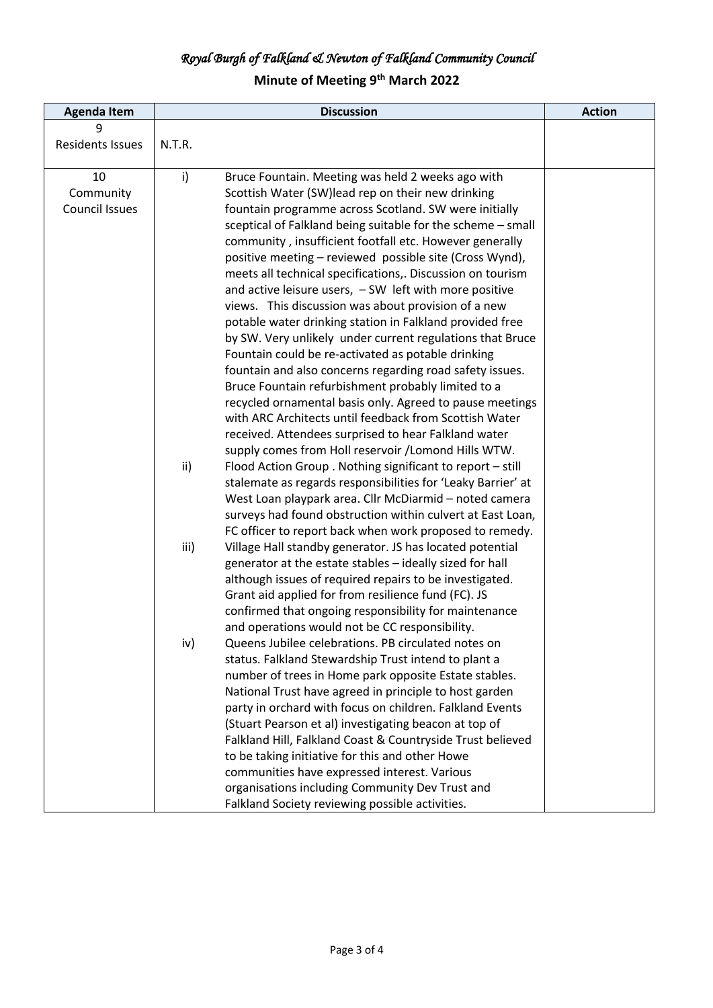# **Minute of Meeting 9th March 2022**

| <b>Agenda Item</b>      |        | <b>Discussion</b>                                            | <b>Action</b> |
|-------------------------|--------|--------------------------------------------------------------|---------------|
| 9                       |        |                                                              |               |
| <b>Residents Issues</b> | N.T.R. |                                                              |               |
|                         |        |                                                              |               |
| 10                      | i)     | Bruce Fountain. Meeting was held 2 weeks ago with            |               |
| Community               |        | Scottish Water (SW)lead rep on their new drinking            |               |
| <b>Council Issues</b>   |        | fountain programme across Scotland. SW were initially        |               |
|                         |        | sceptical of Falkland being suitable for the scheme - small  |               |
|                         |        | community, insufficient footfall etc. However generally      |               |
|                         |        | positive meeting - reviewed possible site (Cross Wynd),      |               |
|                         |        | meets all technical specifications,. Discussion on tourism   |               |
|                         |        | and active leisure users, $-SW$ left with more positive      |               |
|                         |        | views. This discussion was about provision of a new          |               |
|                         |        | potable water drinking station in Falkland provided free     |               |
|                         |        | by SW. Very unlikely under current regulations that Bruce    |               |
|                         |        | Fountain could be re-activated as potable drinking           |               |
|                         |        | fountain and also concerns regarding road safety issues.     |               |
|                         |        | Bruce Fountain refurbishment probably limited to a           |               |
|                         |        | recycled ornamental basis only. Agreed to pause meetings     |               |
|                         |        | with ARC Architects until feedback from Scottish Water       |               |
|                         |        | received. Attendees surprised to hear Falkland water         |               |
|                         |        | supply comes from Holl reservoir /Lomond Hills WTW.          |               |
|                         | ii)    | Flood Action Group . Nothing significant to report - still   |               |
|                         |        | stalemate as regards responsibilities for 'Leaky Barrier' at |               |
|                         |        | West Loan playpark area. Cllr McDiarmid - noted camera       |               |
|                         |        | surveys had found obstruction within culvert at East Loan,   |               |
|                         |        | FC officer to report back when work proposed to remedy.      |               |
|                         | iii)   | Village Hall standby generator. JS has located potential     |               |
|                         |        | generator at the estate stables - ideally sized for hall     |               |
|                         |        | although issues of required repairs to be investigated.      |               |
|                         |        | Grant aid applied for from resilience fund (FC). JS          |               |
|                         |        | confirmed that ongoing responsibility for maintenance        |               |
|                         |        | and operations would not be CC responsibility.               |               |
|                         | iv)    | Queens Jubilee celebrations. PB circulated notes on          |               |
|                         |        | status. Falkland Stewardship Trust intend to plant a         |               |
|                         |        | number of trees in Home park opposite Estate stables.        |               |
|                         |        | National Trust have agreed in principle to host garden       |               |
|                         |        | party in orchard with focus on children. Falkland Events     |               |
|                         |        | (Stuart Pearson et al) investigating beacon at top of        |               |
|                         |        | Falkland Hill, Falkland Coast & Countryside Trust believed   |               |
|                         |        | to be taking initiative for this and other Howe              |               |
|                         |        | communities have expressed interest. Various                 |               |
|                         |        | organisations including Community Dev Trust and              |               |
|                         |        | Falkland Society reviewing possible activities.              |               |